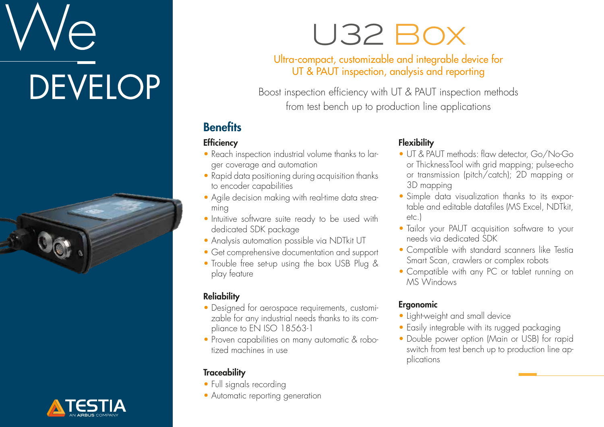# **DEVELOP**





### U32 Box

#### Ultra-compact, customizable and integrable device for UT & PAUT inspection, analysis and reporting

Boost inspection efficiency with UT & PAUT inspection methods from test bench up to production line applications

#### **Benefits**

#### **Efficiency**

- Reach inspection industrial volume thanks to larger coverage and automation
- Rapid data positioning during acquisition thanks to encoder capabilities
- Agile decision making with real-time data streaming
- Intuitive software suite ready to be used with dedicated SDK package
- Analysis automation possible via NDTkit UT
- Get comprehensive documentation and support
- Trouble free set-up using the box USB Plug & play feature

#### **Reliability**

- Designed for aerospace requirements, customizable for any industrial needs thanks to its compliance to EN ISO 18563-1
- Proven capabilities on many automatic & robotized machines in use

#### **Traceability**

- Full signals recording
- Automatic reporting generation

#### **Flexibility**

- UT & PAUT methods: flaw detector, Go/No-Go or ThicknessTool with grid mapping; pulse-echo or transmission (pitch/catch); 2D mapping or 3D mapping
- Simple data visualization thanks to its exportable and editable datafiles (MS Excel, NDTkit, etc.)
- Tailor your PAUT acquisition software to your needs via dedicated SDK
- Compatible with standard scanners like Testia Smart Scan, crawlers or complex robots
- Compatible with any PC or tablet running on MS Windows

#### Ergonomic

- Light-weight and small device
- Easily integrable with its rugged packaging
- Double power option (Main or USB) for rapid switch from test bench up to production line applications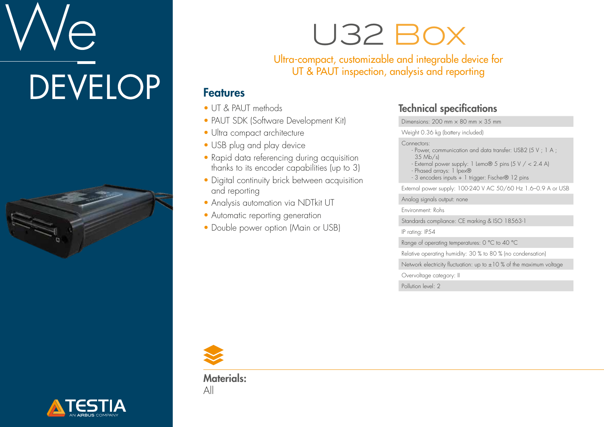# $\ominus$ **DEVELOP**





### U32 Box

Ultra-compact, customizable and integrable device for UT & PAUT inspection, analysis and reporting

#### Features

- UT & PAUT methods
- PAUT SDK (Software Development Kit)
- Ultra compact architecture
- USB plug and play device
- Rapid data referencing during acquisition thanks to its encoder capabilities (up to 3)
- Digital continuity brick between acquisition and reporting
- Analysis automation via NDTkit UT
- Automatic reporting generation
- Double power option (Main or USB)

#### Technical specifications

Dimensions: 200 mm  $\times$  80 mm  $\times$  35 mm

Weight 0.36 kg (battery included)

#### Connectors:

- Power, communication and data transfer: USB2 (5 V ; 1 A ; 35 Mb/s)
- External power supply: 1 Lemo® 5 pins (5 V / < 2.4 A)
- Phased arrays: 1 Ipex®
- 3 encoders inputs + 1 trigger: Fischer® 12 pins

External power supply: 100-240 V AC 50/60 Hz 1.6–0.9 A or USB

Analog signals output: none

Environment: Rohs

Standards compliance: CE marking & ISO 18563-1

IP rating: IP54

Range of operating temperatures: 0 °C to 40 °C

Relative operating humidity: 30 % to 80 % (no condensation)

Network electricity fluctuation: up to  $\pm 10$  % of the maximum voltage

Overvoltage category: II

Pollution level: 2



Materials: All